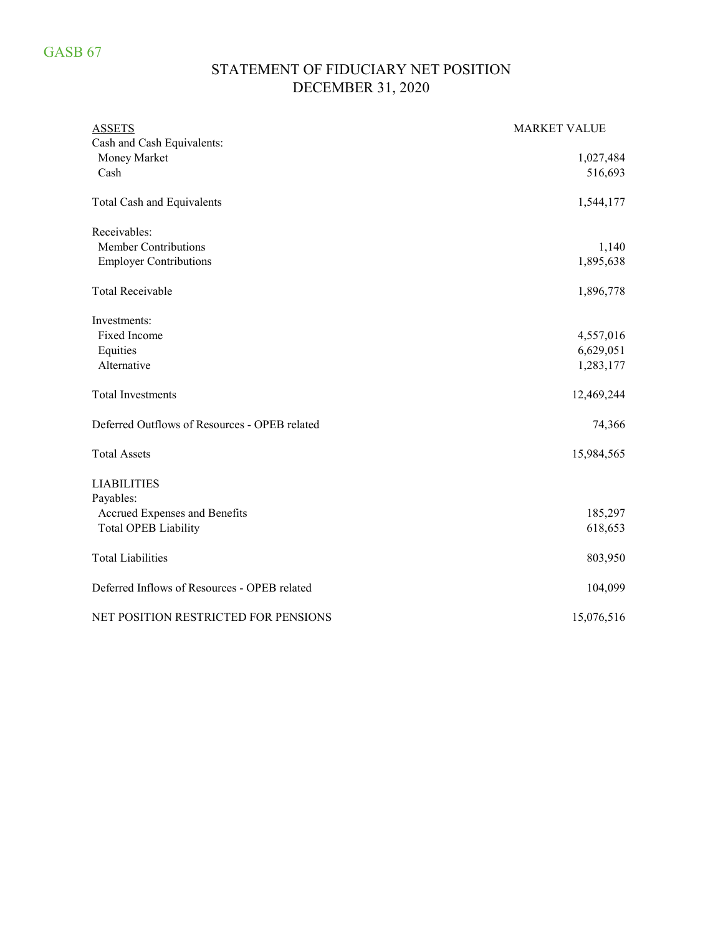## STATEMENT OF FIDUCIARY NET POSITION DECEMBER 31, 2020

| <b>ASSETS</b>                                 | <b>MARKET VALUE</b> |
|-----------------------------------------------|---------------------|
| Cash and Cash Equivalents:                    |                     |
| Money Market                                  | 1,027,484           |
| Cash                                          | 516,693             |
| <b>Total Cash and Equivalents</b>             | 1,544,177           |
| Receivables:                                  |                     |
| <b>Member Contributions</b>                   | 1,140               |
| <b>Employer Contributions</b>                 | 1,895,638           |
| <b>Total Receivable</b>                       | 1,896,778           |
| Investments:                                  |                     |
| Fixed Income                                  | 4,557,016           |
| Equities                                      | 6,629,051           |
| Alternative                                   | 1,283,177           |
| <b>Total Investments</b>                      | 12,469,244          |
| Deferred Outflows of Resources - OPEB related | 74,366              |
| <b>Total Assets</b>                           | 15,984,565          |
| <b>LIABILITIES</b>                            |                     |
| Payables:                                     |                     |
| Accrued Expenses and Benefits                 | 185,297             |
| <b>Total OPEB Liability</b>                   | 618,653             |
| <b>Total Liabilities</b>                      | 803,950             |
| Deferred Inflows of Resources - OPEB related  | 104,099             |
| NET POSITION RESTRICTED FOR PENSIONS          | 15,076,516          |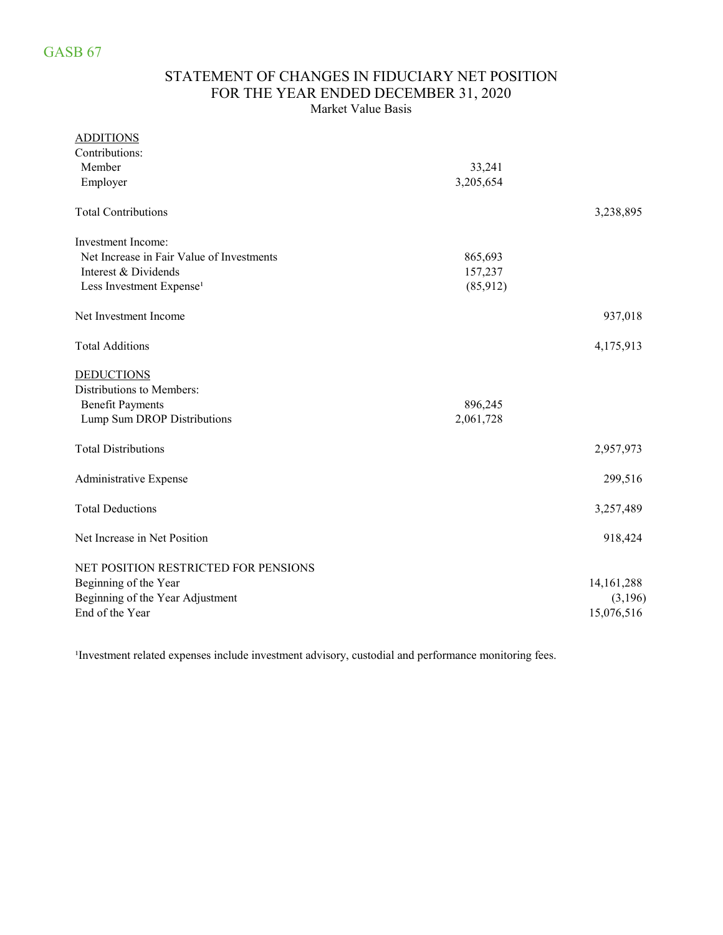### STATEMENT OF CHANGES IN FIDUCIARY NET POSITION FOR THE YEAR ENDED DECEMBER 31, 2020 Market Value Basis

#### ADDITIONS

| Contributions:                            |           |              |
|-------------------------------------------|-----------|--------------|
| Member                                    | 33,241    |              |
| Employer                                  | 3,205,654 |              |
| <b>Total Contributions</b>                |           | 3,238,895    |
| <b>Investment Income:</b>                 |           |              |
| Net Increase in Fair Value of Investments | 865,693   |              |
| Interest & Dividends                      | 157,237   |              |
| Less Investment Expense <sup>1</sup>      | (85,912)  |              |
| Net Investment Income                     |           | 937,018      |
| <b>Total Additions</b>                    |           | 4,175,913    |
| <b>DEDUCTIONS</b>                         |           |              |
| Distributions to Members:                 |           |              |
| <b>Benefit Payments</b>                   | 896,245   |              |
| Lump Sum DROP Distributions               | 2,061,728 |              |
| <b>Total Distributions</b>                |           | 2,957,973    |
| Administrative Expense                    |           | 299,516      |
| <b>Total Deductions</b>                   |           | 3,257,489    |
| Net Increase in Net Position              |           | 918,424      |
| NET POSITION RESTRICTED FOR PENSIONS      |           |              |
| Beginning of the Year                     |           | 14, 161, 288 |
| Beginning of the Year Adjustment          |           | (3,196)      |
| End of the Year                           |           | 15,076,516   |
|                                           |           |              |

<sup>1</sup>Investment related expenses include investment advisory, custodial and performance monitoring fees.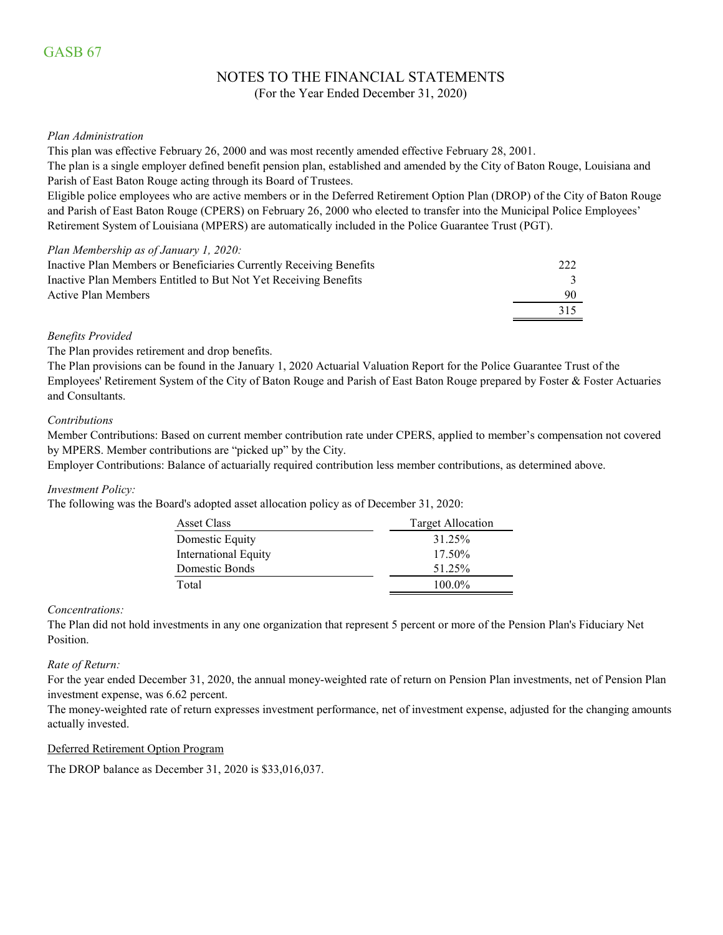# NOTES TO THE FINANCIAL STATEMENTS

(For the Year Ended December 31, 2020)

#### *Plan Administration*

This plan was effective February 26, 2000 and was most recently amended effective February 28, 2001.

The plan is a single employer defined benefit pension plan, established and amended by the City of Baton Rouge, Louisiana and Parish of East Baton Rouge acting through its Board of Trustees.

Eligible police employees who are active members or in the Deferred Retirement Option Plan (DROP) of the City of Baton Rouge and Parish of East Baton Rouge (CPERS) on February 26, 2000 who elected to transfer into the Municipal Police Employees' Retirement System of Louisiana (MPERS) are automatically included in the Police Guarantee Trust (PGT).

#### *Plan Membership as of January 1, 2020:*

| Inactive Plan Members or Beneficiaries Currently Receiving Benefits | 222 |
|---------------------------------------------------------------------|-----|
| Inactive Plan Members Entitled to But Not Yet Receiving Benefits    |     |
| Active Plan Members                                                 | 90  |
|                                                                     | 315 |

#### *Benefits Provided*

#### The Plan provides retirement and drop benefits.

The Plan provisions can be found in the January 1, 2020 Actuarial Valuation Report for the Police Guarantee Trust of the Employees' Retirement System of the City of Baton Rouge and Parish of East Baton Rouge prepared by Foster & Foster Actuaries and Consultants.

#### *Contributions*

Member Contributions: Based on current member contribution rate under CPERS, applied to member's compensation not covered by MPERS. Member contributions are "picked up" by the City.

Employer Contributions: Balance of actuarially required contribution less member contributions, as determined above.

#### *Investment Policy:*

The following was the Board's adopted asset allocation policy as of December 31, 2020:

| <b>Asset Class</b>          | <b>Target Allocation</b> |
|-----------------------------|--------------------------|
| Domestic Equity             | 31.25%                   |
| <b>International Equity</b> | 17.50%                   |
| Domestic Bonds              | 51.25%                   |
| Total                       | 100.0%                   |

#### *Concentrations:*

The Plan did not hold investments in any one organization that represent 5 percent or more of the Pension Plan's Fiduciary Net Position.

#### *Rate of Return:*

For the year ended December 31, 2020, the annual money-weighted rate of return on Pension Plan investments, net of Pension Plan investment expense, was 6.62 percent.

The money-weighted rate of return expresses investment performance, net of investment expense, adjusted for the changing amounts actually invested.

#### Deferred Retirement Option Program

The DROP balance as December 31, 2020 is \$33,016,037.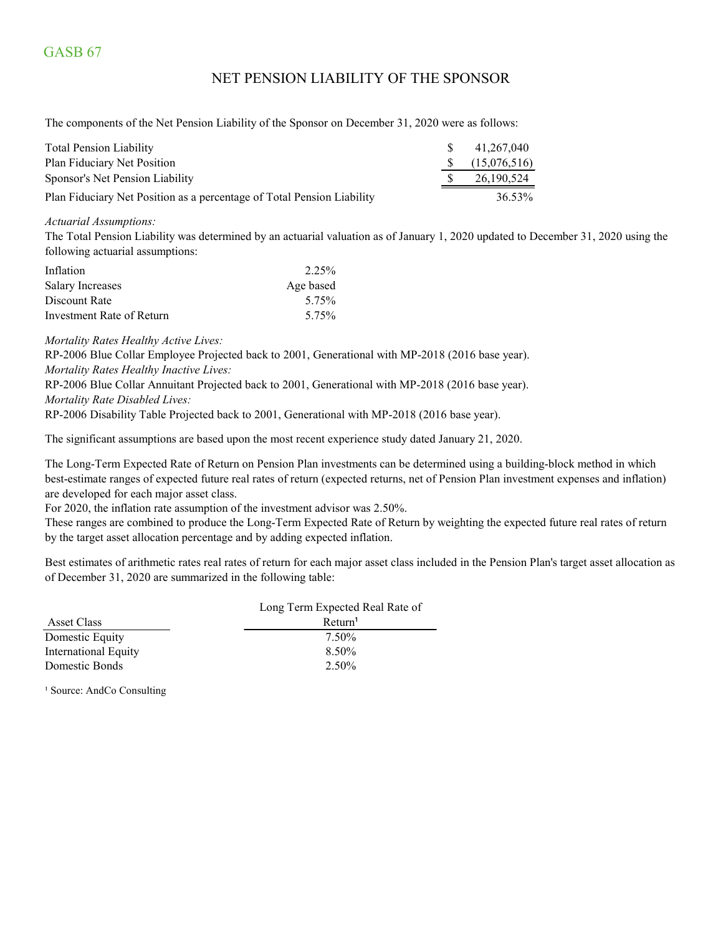## GASB 67

### NET PENSION LIABILITY OF THE SPONSOR

The components of the Net Pension Liability of the Sponsor on December 31, 2020 were as follows:

| Total Pension Liability                                                | S.            | 41,267,040   |
|------------------------------------------------------------------------|---------------|--------------|
| Plan Fiduciary Net Position                                            | $\mathcal{S}$ | (15,076,516) |
| Sponsor's Net Pension Liability                                        |               | 26,190,524   |
| Plan Fiduciary Net Position as a percentage of Total Pension Liability |               | 36.53%       |

*Actuarial Assumptions:*

The Total Pension Liability was determined by an actuarial valuation as of January 1, 2020 updated to December 31, 2020 using the following actuarial assumptions:

| Inflation                 | 2.25%     |
|---------------------------|-----------|
| <b>Salary Increases</b>   | Age based |
| Discount Rate             | 5.75%     |
| Investment Rate of Return | 5.75%     |

*Mortality Rates Healthy Active Lives:*

RP-2006 Blue Collar Employee Projected back to 2001, Generational with MP-2018 (2016 base year). *Mortality Rates Healthy Inactive Lives:*

RP-2006 Blue Collar Annuitant Projected back to 2001, Generational with MP-2018 (2016 base year). *Mortality Rate Disabled Lives:*

RP-2006 Disability Table Projected back to 2001, Generational with MP-2018 (2016 base year).

The significant assumptions are based upon the most recent experience study dated January 21, 2020.

The Long-Term Expected Rate of Return on Pension Plan investments can be determined using a building-block method in which best-estimate ranges of expected future real rates of return (expected returns, net of Pension Plan investment expenses and inflation) are developed for each major asset class.

For 2020, the inflation rate assumption of the investment advisor was 2.50%.

These ranges are combined to produce the Long-Term Expected Rate of Return by weighting the expected future real rates of return by the target asset allocation percentage and by adding expected inflation.

Best estimates of arithmetic rates real rates of return for each major asset class included in the Pension Plan's target asset allocation as of December 31, 2020 are summarized in the following table:

|                      | Long Term Expected Real Rate of |  |  |
|----------------------|---------------------------------|--|--|
| Asset Class          | Return <sup>1</sup>             |  |  |
| Domestic Equity      | 7.50%                           |  |  |
| International Equity | 8.50%                           |  |  |
| Domestic Bonds       | 2.50%                           |  |  |
|                      |                                 |  |  |

<sup>1</sup> Source: AndCo Consulting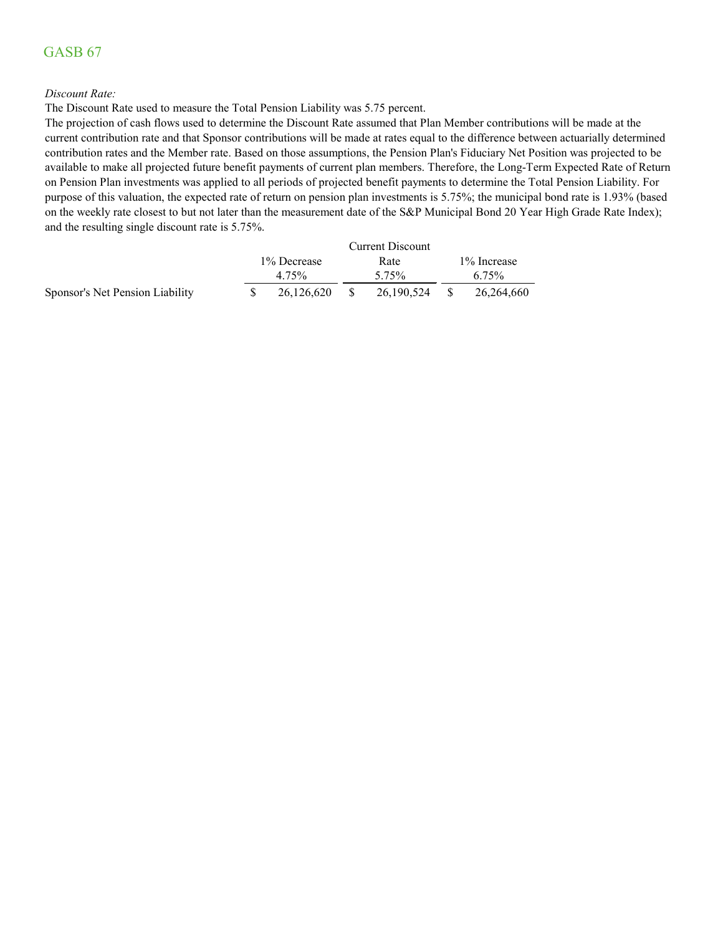## GASB 67

#### *Discount Rate:*

The Discount Rate used to measure the Total Pension Liability was 5.75 percent.

The projection of cash flows used to determine the Discount Rate assumed that Plan Member contributions will be made at the current contribution rate and that Sponsor contributions will be made at rates equal to the difference between actuarially determined contribution rates and the Member rate. Based on those assumptions, the Pension Plan's Fiduciary Net Position was projected to be available to make all projected future benefit payments of current plan members. Therefore, the Long-Term Expected Rate of Return on Pension Plan investments was applied to all periods of projected benefit payments to determine the Total Pension Liability. For purpose of this valuation, the expected rate of return on pension plan investments is 5.75%; the municipal bond rate is 1.93% (based on the weekly rate closest to but not later than the measurement date of the S&P Municipal Bond 20 Year High Grade Rate Index); and the resulting single discount rate is 5.75%.

|                                 | <b>Current Discount</b> |              |  |            |  |              |
|---------------------------------|-------------------------|--------------|--|------------|--|--------------|
|                                 |                         | 1\% Decrease |  | Rate       |  | 1\% Increase |
|                                 |                         | 4.75%        |  | 5.75%      |  | 6.75%        |
| Sponsor's Net Pension Liability |                         | 26,126,620   |  | 26,190,524 |  | 26,264,660   |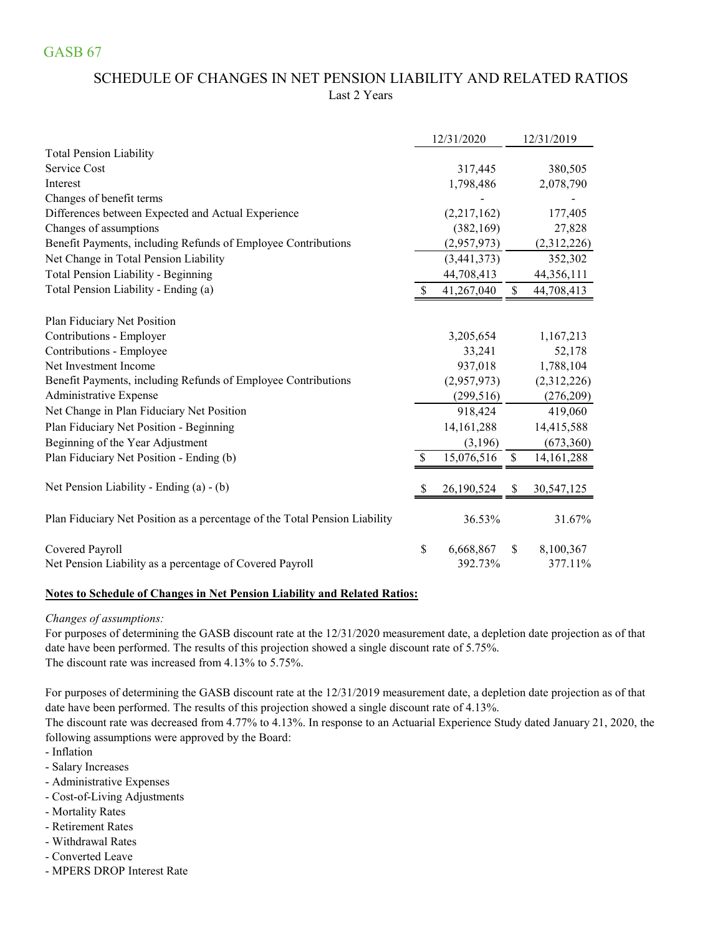## SCHEDULE OF CHANGES IN NET PENSION LIABILITY AND RELATED RATIOS Last 2 Years

|                                                                            | 12/31/2020       |              | 12/31/2019   |
|----------------------------------------------------------------------------|------------------|--------------|--------------|
| <b>Total Pension Liability</b>                                             |                  |              |              |
| Service Cost                                                               | 317,445          |              | 380,505      |
| Interest                                                                   | 1,798,486        |              | 2,078,790    |
| Changes of benefit terms                                                   |                  |              |              |
| Differences between Expected and Actual Experience                         | (2,217,162)      |              | 177,405      |
| Changes of assumptions                                                     | (382, 169)       |              | 27,828       |
| Benefit Payments, including Refunds of Employee Contributions              | (2,957,973)      |              | (2,312,226)  |
| Net Change in Total Pension Liability                                      | (3,441,373)      |              | 352,302      |
| Total Pension Liability - Beginning                                        | 44,708,413       |              | 44,356,111   |
| Total Pension Liability - Ending (a)                                       | 41,267,040       | \$           | 44,708,413   |
| Plan Fiduciary Net Position                                                |                  |              |              |
| Contributions - Employer                                                   | 3,205,654        |              | 1,167,213    |
| Contributions - Employee                                                   | 33,241           |              | 52,178       |
| Net Investment Income                                                      | 937,018          |              | 1,788,104    |
| Benefit Payments, including Refunds of Employee Contributions              | (2,957,973)      |              | (2,312,226)  |
| Administrative Expense                                                     | (299, 516)       |              | (276,209)    |
| Net Change in Plan Fiduciary Net Position                                  | 918,424          |              | 419,060      |
| Plan Fiduciary Net Position - Beginning                                    | 14, 161, 288     |              | 14,415,588   |
| Beginning of the Year Adjustment                                           | (3,196)          |              | (673,360)    |
| Plan Fiduciary Net Position - Ending (b)                                   | \$<br>15,076,516 | $\mathbb{S}$ | 14, 161, 288 |
| Net Pension Liability - Ending (a) - (b)                                   | \$<br>26,190,524 | \$           | 30,547,125   |
| Plan Fiduciary Net Position as a percentage of the Total Pension Liability | 36.53%           |              | 31.67%       |
| Covered Payroll                                                            | \$<br>6,668,867  | S            | 8,100,367    |
| Net Pension Liability as a percentage of Covered Payroll                   | 392.73%          |              | 377.11%      |

### **Notes to Schedule of Changes in Net Pension Liability and Related Ratios:**

### *Changes of assumptions:*

For purposes of determining the GASB discount rate at the 12/31/2020 measurement date, a depletion date projection as of that date have been performed. The results of this projection showed a single discount rate of 5.75%. The discount rate was increased from 4.13% to 5.75%.

For purposes of determining the GASB discount rate at the 12/31/2019 measurement date, a depletion date projection as of that date have been performed. The results of this projection showed a single discount rate of 4.13%.

following assumptions were approved by the Board: The discount rate was decreased from 4.77% to 4.13%. In response to an Actuarial Experience Study dated January 21, 2020, the

- Inflation
- Salary Increases
- Administrative Expenses
- Cost-of-Living Adjustments
- Mortality Rates
- Retirement Rates
- Withdrawal Rates
- Converted Leave
- MPERS DROP Interest Rate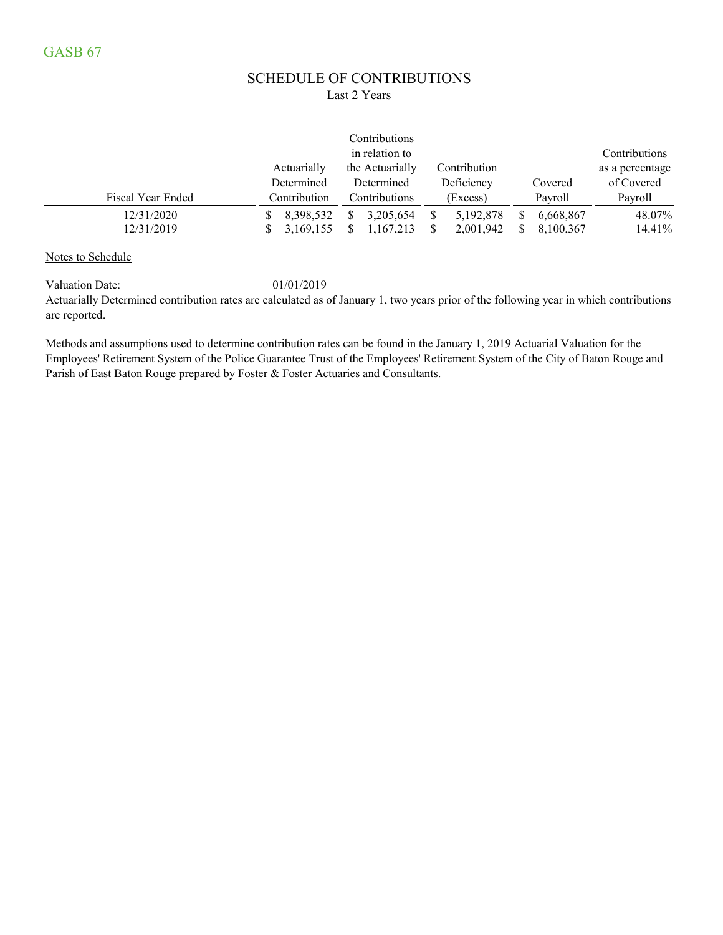### SCHEDULE OF CONTRIBUTIONS Last 2 Years

|                   |              | Contributions   |              |           |                 |
|-------------------|--------------|-----------------|--------------|-----------|-----------------|
|                   |              | in relation to  |              |           | Contributions   |
|                   | Actuarially  | the Actuarially | Contribution |           | as a percentage |
|                   | Determined   | Determined      | Deficiency   | Covered   | of Covered      |
| Fiscal Year Ended | Contribution | Contributions   | (Excess)     | Payroll   | Payroll         |
| 12/31/2020        | 8,398,532    | 3,205,654<br>S  | 5, 192, 878  | 6,668,867 | 48.07%          |
| 12/31/2019        | 3,169,155    | 1,167,213       | 2,001,942    | 8,100,367 | 14.41%          |

Notes to Schedule

Valuation Date: 01/01/2019

Actuarially Determined contribution rates are calculated as of January 1, two years prior of the following year in which contributions are reported.

Methods and assumptions used to determine contribution rates can be found in the January 1, 2019 Actuarial Valuation for the Employees' Retirement System of the Police Guarantee Trust of the Employees' Retirement System of the City of Baton Rouge and Parish of East Baton Rouge prepared by Foster & Foster Actuaries and Consultants.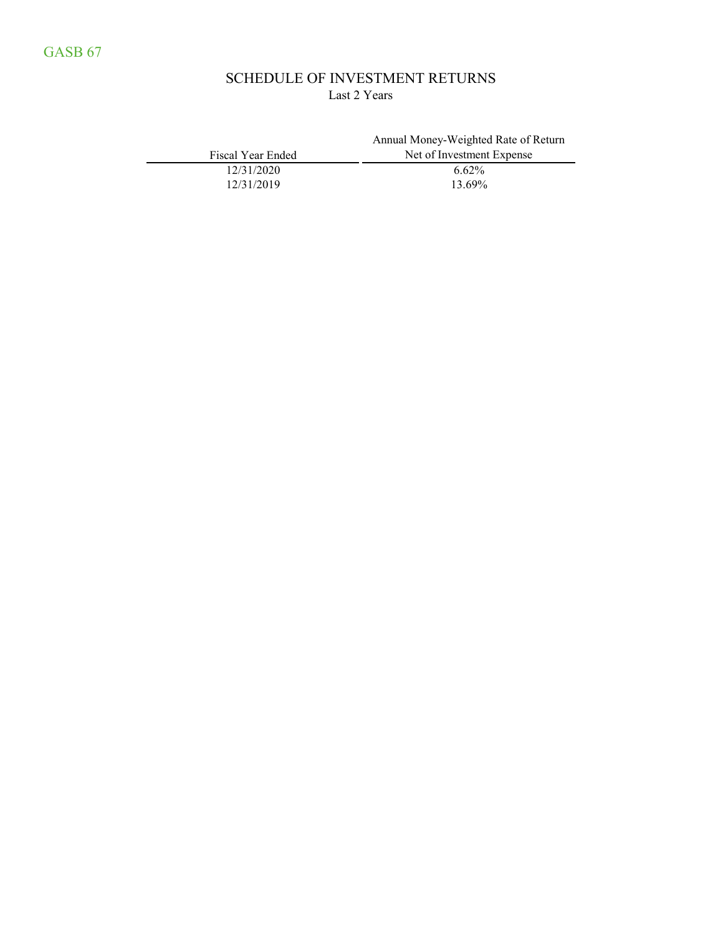## SCHEDULE OF INVESTMENT RETURNS Last 2 Years

|                   | Annual Money-Weighted Rate of Return |
|-------------------|--------------------------------------|
| Fiscal Year Ended | Net of Investment Expense            |
| 12/31/2020        | $6.62\%$                             |
| 12/31/2019        | 13.69%                               |
|                   |                                      |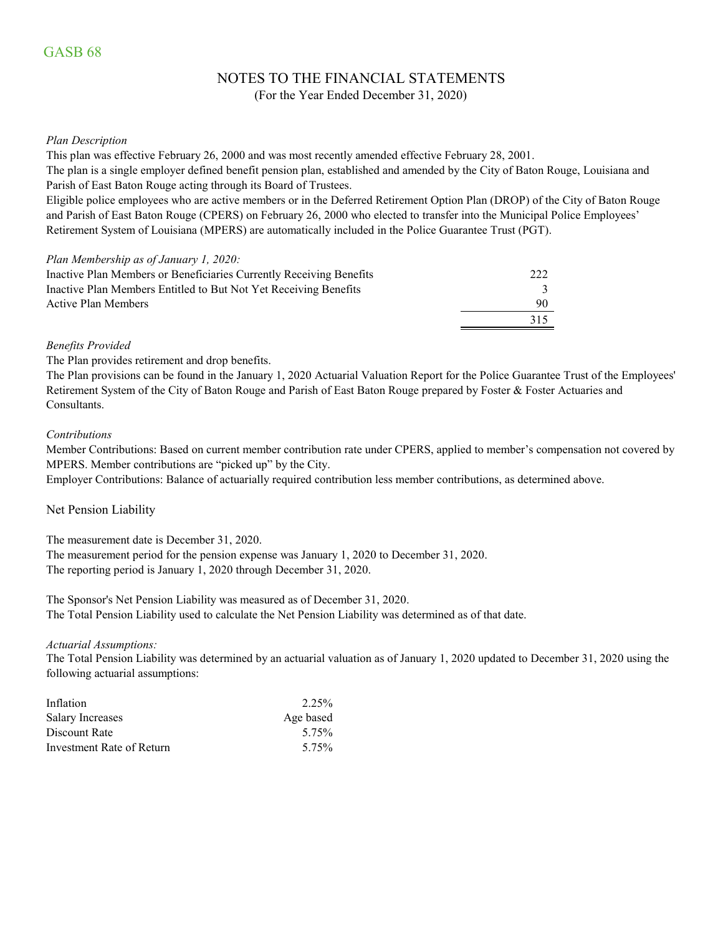## NOTES TO THE FINANCIAL STATEMENTS

(For the Year Ended December 31, 2020)

#### *Plan Description*

This plan was effective February 26, 2000 and was most recently amended effective February 28, 2001.

The plan is a single employer defined benefit pension plan, established and amended by the City of Baton Rouge, Louisiana and Parish of East Baton Rouge acting through its Board of Trustees.

Eligible police employees who are active members or in the Deferred Retirement Option Plan (DROP) of the City of Baton Rouge and Parish of East Baton Rouge (CPERS) on February 26, 2000 who elected to transfer into the Municipal Police Employees' Retirement System of Louisiana (MPERS) are automatically included in the Police Guarantee Trust (PGT).

#### *Plan Membership as of January 1, 2020:*

| Inactive Plan Members or Beneficiaries Currently Receiving Benefits | 222 |
|---------------------------------------------------------------------|-----|
| Inactive Plan Members Entitled to But Not Yet Receiving Benefits    |     |
| Active Plan Members                                                 | 90  |
|                                                                     | 315 |

#### *Benefits Provided*

The Plan provides retirement and drop benefits.

The Plan provisions can be found in the January 1, 2020 Actuarial Valuation Report for the Police Guarantee Trust of the Employees' Retirement System of the City of Baton Rouge and Parish of East Baton Rouge prepared by Foster & Foster Actuaries and Consultants.

#### *Contributions*

Member Contributions: Based on current member contribution rate under CPERS, applied to member's compensation not covered by MPERS. Member contributions are "picked up" by the City.

Employer Contributions: Balance of actuarially required contribution less member contributions, as determined above.

#### Net Pension Liability

The measurement date is December 31, 2020.

The measurement period for the pension expense was January 1, 2020 to December 31, 2020. The reporting period is January 1, 2020 through December 31, 2020.

The Sponsor's Net Pension Liability was measured as of December 31, 2020. The Total Pension Liability used to calculate the Net Pension Liability was determined as of that date.

#### *Actuarial Assumptions:*

The Total Pension Liability was determined by an actuarial valuation as of January 1, 2020 updated to December 31, 2020 using the following actuarial assumptions:

| Inflation                 | 2.25%     |
|---------------------------|-----------|
| <b>Salary Increases</b>   | Age based |
| Discount Rate             | 5.75%     |
| Investment Rate of Return | 5.75%     |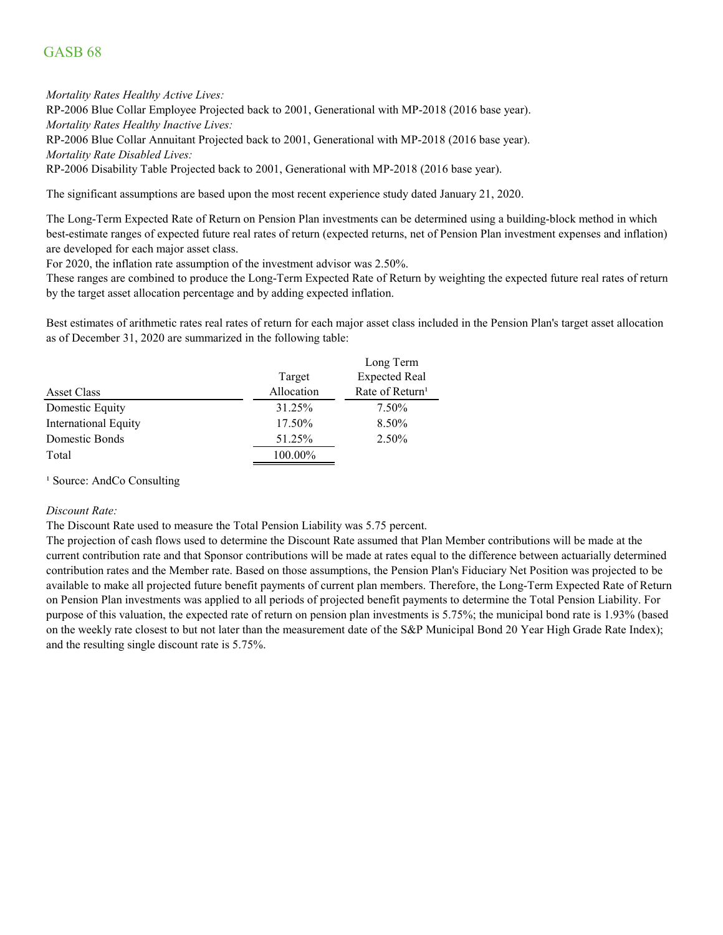### GASB 68

*Mortality Rates Healthy Active Lives:*

RP-2006 Blue Collar Employee Projected back to 2001, Generational with MP-2018 (2016 base year). *Mortality Rates Healthy Inactive Lives:*

RP-2006 Blue Collar Annuitant Projected back to 2001, Generational with MP-2018 (2016 base year).

*Mortality Rate Disabled Lives:*

RP-2006 Disability Table Projected back to 2001, Generational with MP-2018 (2016 base year).

The significant assumptions are based upon the most recent experience study dated January 21, 2020.

The Long-Term Expected Rate of Return on Pension Plan investments can be determined using a building-block method in which best-estimate ranges of expected future real rates of return (expected returns, net of Pension Plan investment expenses and inflation) are developed for each major asset class.

For 2020, the inflation rate assumption of the investment advisor was 2.50%.

These ranges are combined to produce the Long-Term Expected Rate of Return by weighting the expected future real rates of return by the target asset allocation percentage and by adding expected inflation.

Best estimates of arithmetic rates real rates of return for each major asset class included in the Pension Plan's target asset allocation as of December 31, 2020 are summarized in the following table:

|                             |            | Long Term                   |
|-----------------------------|------------|-----------------------------|
|                             | Target     | <b>Expected Real</b>        |
| Asset Class                 | Allocation | Rate of Return <sup>1</sup> |
| Domestic Equity             | 31.25%     | 7.50%                       |
| <b>International Equity</b> | 17.50%     | 8.50%                       |
| Domestic Bonds              | 51.25%     | 2.50%                       |
| Total                       | 100.00%    |                             |

<sup>1</sup> Source: AndCo Consulting

#### *Discount Rate:*

The Discount Rate used to measure the Total Pension Liability was 5.75 percent.

The projection of cash flows used to determine the Discount Rate assumed that Plan Member contributions will be made at the current contribution rate and that Sponsor contributions will be made at rates equal to the difference between actuarially determined contribution rates and the Member rate. Based on those assumptions, the Pension Plan's Fiduciary Net Position was projected to be available to make all projected future benefit payments of current plan members. Therefore, the Long-Term Expected Rate of Return on Pension Plan investments was applied to all periods of projected benefit payments to determine the Total Pension Liability. For purpose of this valuation, the expected rate of return on pension plan investments is 5.75%; the municipal bond rate is 1.93% (based on the weekly rate closest to but not later than the measurement date of the S&P Municipal Bond 20 Year High Grade Rate Index); and the resulting single discount rate is 5.75%.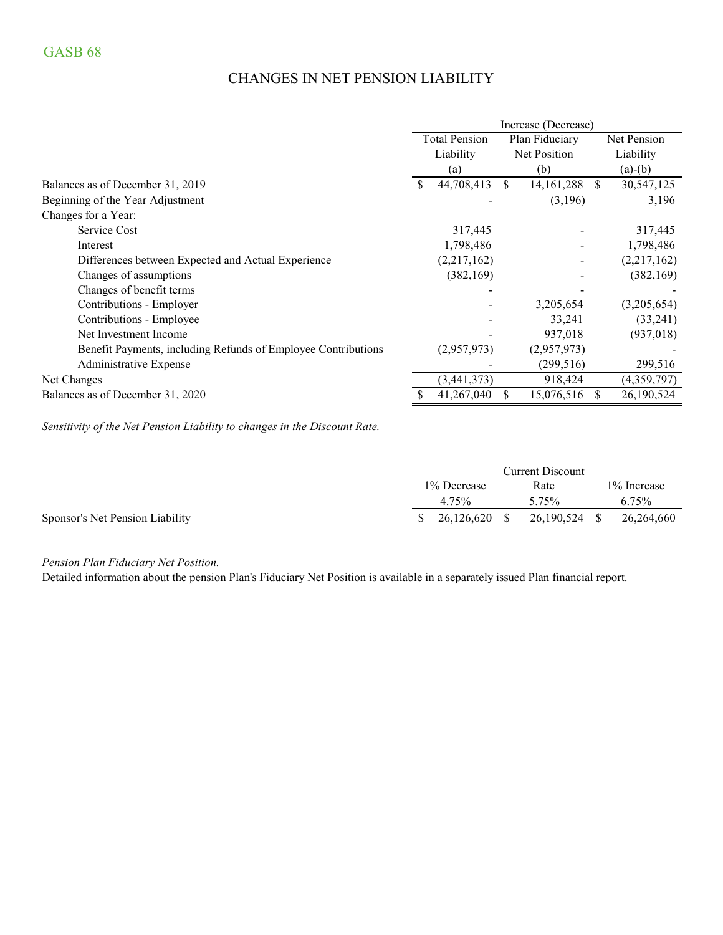## CHANGES IN NET PENSION LIABILITY

|                                                               |    |                      |    | Increase (Decrease) |              |             |
|---------------------------------------------------------------|----|----------------------|----|---------------------|--------------|-------------|
|                                                               |    | <b>Total Pension</b> |    | Plan Fiduciary      |              | Net Pension |
|                                                               |    | Liability            |    | Net Position        |              | Liability   |
|                                                               |    | (a)                  |    | (b)                 |              | $(a)-(b)$   |
| Balances as of December 31, 2019                              | S. | 44,708,413           | S. | 14, 161, 288        | <sup>S</sup> | 30,547,125  |
| Beginning of the Year Adjustment                              |    |                      |    | (3,196)             |              | 3,196       |
| Changes for a Year:                                           |    |                      |    |                     |              |             |
| Service Cost                                                  |    | 317,445              |    |                     |              | 317,445     |
| Interest                                                      |    | 1,798,486            |    |                     |              | 1,798,486   |
| Differences between Expected and Actual Experience            |    | (2,217,162)          |    |                     |              | (2,217,162) |
| Changes of assumptions                                        |    | (382, 169)           |    |                     |              | (382, 169)  |
| Changes of benefit terms                                      |    |                      |    |                     |              |             |
| Contributions - Employer                                      |    |                      |    | 3,205,654           |              | (3,205,654) |
| Contributions - Employee                                      |    |                      |    | 33,241              |              | (33,241)    |
| Net Investment Income                                         |    |                      |    | 937,018             |              | (937, 018)  |
| Benefit Payments, including Refunds of Employee Contributions |    | (2,957,973)          |    | (2,957,973)         |              |             |
| Administrative Expense                                        |    |                      |    | (299, 516)          |              | 299,516     |
| Net Changes                                                   |    | (3,441,373)          |    | 918,424             |              | (4,359,797) |
| Balances as of December 31, 2020                              |    | 41,267,040           | S. | 15,076,516          | S.           | 26,190,524  |

*Sensitivity of the Net Pension Liability to changes in the Discount Rate.*

|                                 |                         |              | <b>Current Discount</b> |              |
|---------------------------------|-------------------------|--------------|-------------------------|--------------|
|                                 | 1\% Decrease            |              | Rate                    | 1\% Increase |
|                                 | 4.75%                   |              | 5.75%                   | $6.75\%$     |
| Sponsor's Net Pension Liability | $\frac{\$}{26,126,620}$ | <sup>S</sup> | 26,190,524 \$           | 26,264,660   |

*Pension Plan Fiduciary Net Position.* 

Detailed information about the pension Plan's Fiduciary Net Position is available in a separately issued Plan financial report.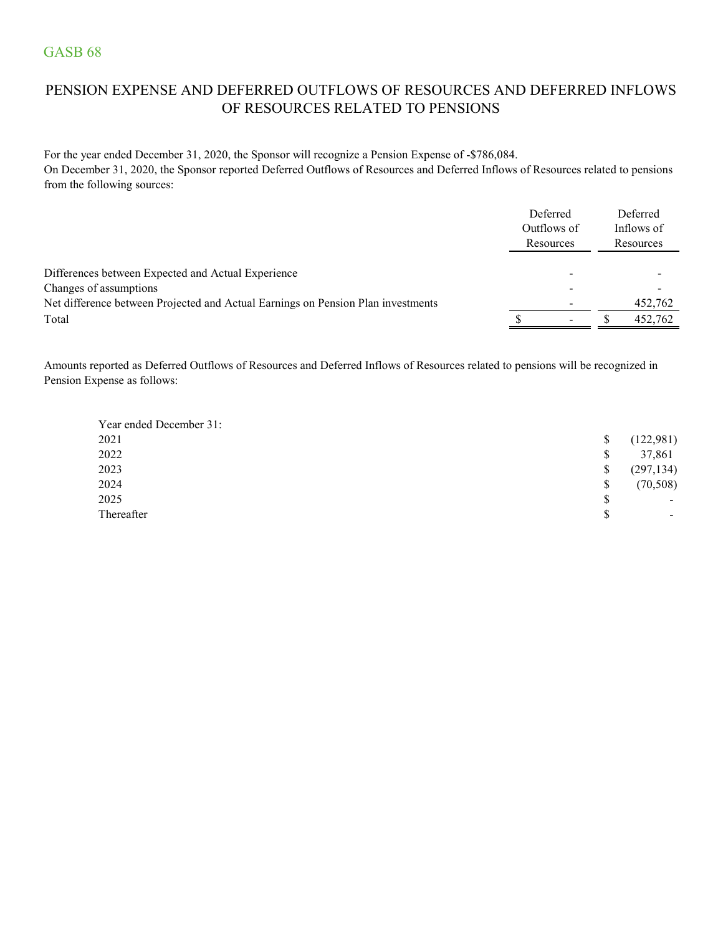## PENSION EXPENSE AND DEFERRED OUTFLOWS OF RESOURCES AND DEFERRED INFLOWS OF RESOURCES RELATED TO PENSIONS

For the year ended December 31, 2020, the Sponsor will recognize a Pension Expense of -\$786,084. On December 31, 2020, the Sponsor reported Deferred Outflows of Resources and Deferred Inflows of Resources related to pensions from the following sources:

|                                                                                  | Deferred<br>Outflows of<br>Resources |  | Deferred<br>Inflows of<br>Resources |
|----------------------------------------------------------------------------------|--------------------------------------|--|-------------------------------------|
| Differences between Expected and Actual Experience<br>Changes of assumptions     |                                      |  |                                     |
| Net difference between Projected and Actual Earnings on Pension Plan investments |                                      |  | 452,762                             |
| Total                                                                            |                                      |  | 452,762                             |

Amounts reported as Deferred Outflows of Resources and Deferred Inflows of Resources related to pensions will be recognized in Pension Expense as follows:

| Year ended December 31: |    |                          |
|-------------------------|----|--------------------------|
| 2021                    | S  | (122, 981)               |
| 2022                    | \$ | 37,861                   |
| 2023                    | \$ | (297, 134)               |
| 2024                    | \$ | (70, 508)                |
| 2025                    | \$ | $\overline{\phantom{0}}$ |
| Thereafter              | \$ | $\overline{\phantom{0}}$ |
|                         |    |                          |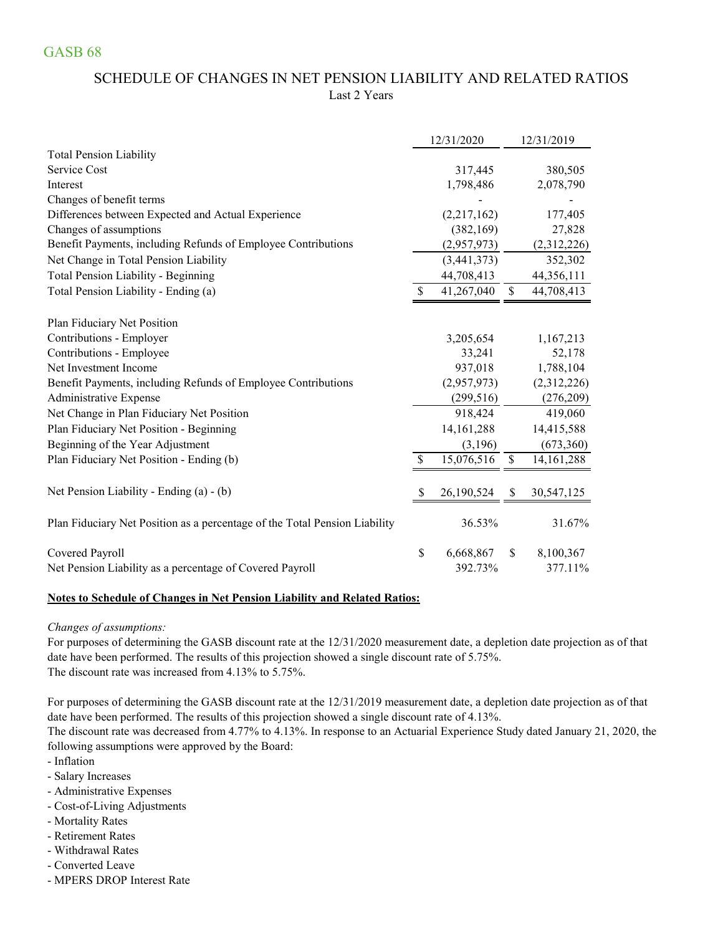## SCHEDULE OF CHANGES IN NET PENSION LIABILITY AND RELATED RATIOS Last 2 Years

|                                                                            |    | 12/31/2020   |               | 12/31/2019   |
|----------------------------------------------------------------------------|----|--------------|---------------|--------------|
| <b>Total Pension Liability</b>                                             |    |              |               |              |
| Service Cost                                                               |    | 317,445      |               | 380,505      |
| Interest                                                                   |    | 1,798,486    |               | 2,078,790    |
| Changes of benefit terms                                                   |    |              |               |              |
| Differences between Expected and Actual Experience                         |    | (2,217,162)  |               | 177,405      |
| Changes of assumptions                                                     |    | (382, 169)   |               | 27,828       |
| Benefit Payments, including Refunds of Employee Contributions              |    | (2,957,973)  |               | (2,312,226)  |
| Net Change in Total Pension Liability                                      |    | (3,441,373)  |               | 352,302      |
| Total Pension Liability - Beginning                                        |    | 44,708,413   |               | 44,356,111   |
| Total Pension Liability - Ending (a)                                       | S  | 41,267,040   | $\mathcal{S}$ | 44,708,413   |
| Plan Fiduciary Net Position                                                |    |              |               |              |
| Contributions - Employer                                                   |    | 3,205,654    |               | 1,167,213    |
| Contributions - Employee                                                   |    | 33,241       |               | 52,178       |
| Net Investment Income                                                      |    | 937,018      |               | 1,788,104    |
| Benefit Payments, including Refunds of Employee Contributions              |    | (2,957,973)  |               | (2,312,226)  |
| Administrative Expense                                                     |    | (299, 516)   |               | (276,209)    |
| Net Change in Plan Fiduciary Net Position                                  |    | 918,424      |               | 419,060      |
| Plan Fiduciary Net Position - Beginning                                    |    | 14, 161, 288 |               | 14,415,588   |
| Beginning of the Year Adjustment                                           |    | (3,196)      |               | (673,360)    |
| Plan Fiduciary Net Position - Ending (b)                                   | \$ | 15,076,516   | \$            | 14, 161, 288 |
| Net Pension Liability - Ending (a) - (b)                                   | S  | 26,190,524   | <sup>8</sup>  | 30,547,125   |
| Plan Fiduciary Net Position as a percentage of the Total Pension Liability |    | 36.53%       |               | 31.67%       |
| Covered Payroll                                                            | \$ | 6,668,867    | <sup>\$</sup> | 8,100,367    |
| Net Pension Liability as a percentage of Covered Payroll                   |    | 392.73%      |               | 377.11%      |

#### **Notes to Schedule of Changes in Net Pension Liability and Related Ratios:**

#### *Changes of assumptions:*

For purposes of determining the GASB discount rate at the 12/31/2020 measurement date, a depletion date projection as of that date have been performed. The results of this projection showed a single discount rate of 5.75%. The discount rate was increased from 4.13% to 5.75%.

For purposes of determining the GASB discount rate at the 12/31/2019 measurement date, a depletion date projection as of that date have been performed. The results of this projection showed a single discount rate of 4.13%.

The discount rate was decreased from 4.77% to 4.13%. In response to an Actuarial Experience Study dated January 21, 2020, the following assumptions were approved by the Board:

- Inflation
- Salary Increases
- Administrative Expenses
- Cost-of-Living Adjustments
- Mortality Rates
- Retirement Rates
- Withdrawal Rates
- Converted Leave
- MPERS DROP Interest Rate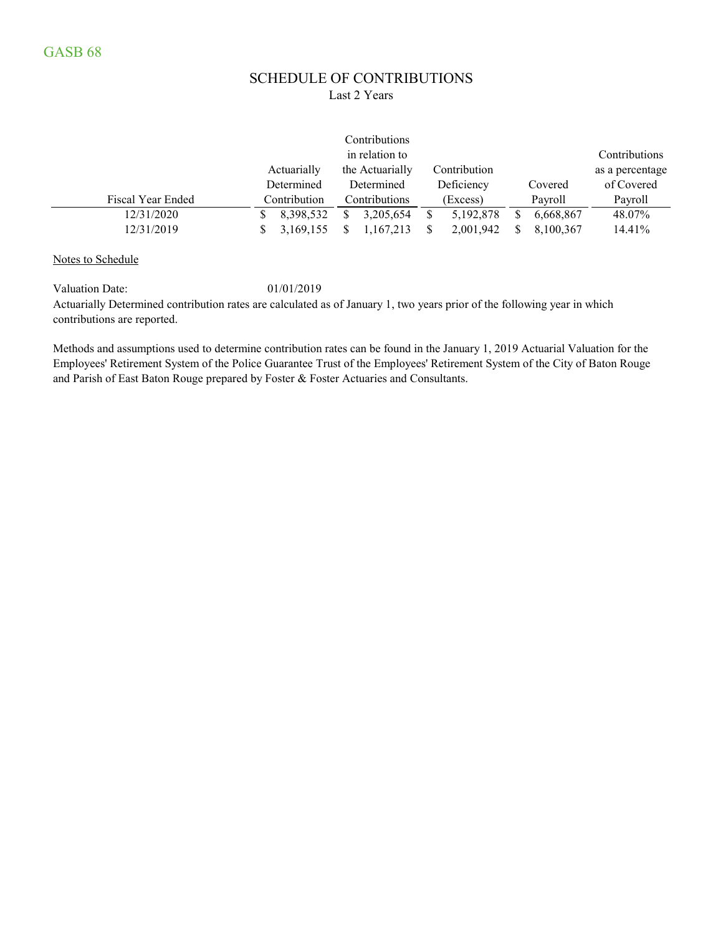### SCHEDULE OF CONTRIBUTIONS Last 2 Years

|                   |              | Contributions   |              |                |                 |
|-------------------|--------------|-----------------|--------------|----------------|-----------------|
|                   |              | in relation to  |              |                | Contributions   |
|                   | Actuarially  | the Actuarially | Contribution |                | as a percentage |
|                   | Determined   | Determined      | Deficiency   | Covered        | of Covered      |
| Fiscal Year Ended | Contribution | Contributions   | (Excess)     | Payroll        | Payroll         |
| 12/31/2020        | 8,398,532    | 3,205,654       | 5,192,878    | 6,668,867<br>S | 48.07%          |
| 12/31/2019        | 3,169,155    | 1,167,213       | 2,001,942    | 8,100,367      | 14.41%          |

Notes to Schedule

Valuation Date: 01/01/2019

Actuarially Determined contribution rates are calculated as of January 1, two years prior of the following year in which contributions are reported.

Methods and assumptions used to determine contribution rates can be found in the January 1, 2019 Actuarial Valuation for the Employees' Retirement System of the Police Guarantee Trust of the Employees' Retirement System of the City of Baton Rouge and Parish of East Baton Rouge prepared by Foster & Foster Actuaries and Consultants.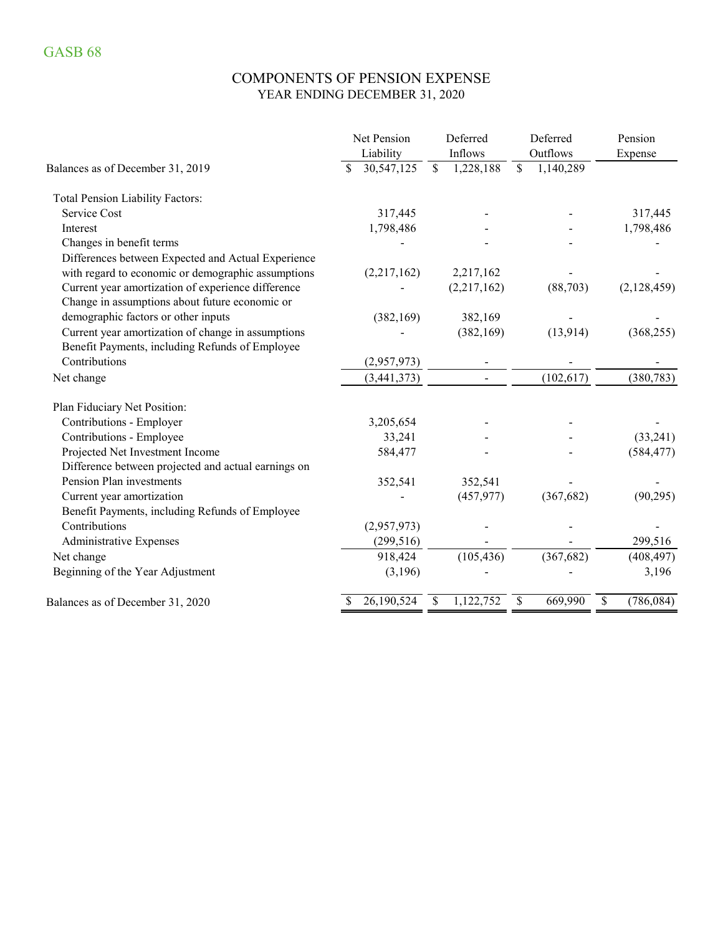## COMPONENTS OF PENSION EXPENSE YEAR ENDING DECEMBER 31, 2020

|                                                     | Net Pension      | Deferred      |             |              | Deferred   | Pension          |
|-----------------------------------------------------|------------------|---------------|-------------|--------------|------------|------------------|
|                                                     | Liability        |               | Inflows     |              | Outflows   | Expense          |
| Balances as of December 31, 2019                    | \$<br>30,547,125 | $\mathsf{\$}$ | 1,228,188   | $\mathbb{S}$ | 1,140,289  |                  |
| <b>Total Pension Liability Factors:</b>             |                  |               |             |              |            |                  |
| Service Cost                                        | 317,445          |               |             |              |            | 317,445          |
| Interest                                            | 1,798,486        |               |             |              |            | 1,798,486        |
| Changes in benefit terms                            |                  |               |             |              |            |                  |
| Differences between Expected and Actual Experience  |                  |               |             |              |            |                  |
| with regard to economic or demographic assumptions  | (2,217,162)      |               | 2,217,162   |              |            |                  |
| Current year amortization of experience difference  |                  |               | (2,217,162) |              | (88, 703)  | (2,128,459)      |
| Change in assumptions about future economic or      |                  |               |             |              |            |                  |
| demographic factors or other inputs                 | (382, 169)       |               | 382,169     |              |            |                  |
| Current year amortization of change in assumptions  |                  |               | (382, 169)  |              | (13, 914)  | (368, 255)       |
| Benefit Payments, including Refunds of Employee     |                  |               |             |              |            |                  |
| Contributions                                       | (2,957,973)      |               |             |              |            |                  |
| Net change                                          | (3,441,373)      |               |             |              | (102, 617) | (380, 783)       |
| Plan Fiduciary Net Position:                        |                  |               |             |              |            |                  |
| Contributions - Employer                            | 3,205,654        |               |             |              |            |                  |
| Contributions - Employee                            | 33,241           |               |             |              |            | (33,241)         |
| Projected Net Investment Income                     | 584,477          |               |             |              |            | (584, 477)       |
| Difference between projected and actual earnings on |                  |               |             |              |            |                  |
| Pension Plan investments                            | 352,541          |               | 352,541     |              |            |                  |
| Current year amortization                           |                  |               | (457, 977)  |              | (367, 682) | (90, 295)        |
| Benefit Payments, including Refunds of Employee     |                  |               |             |              |            |                  |
| Contributions                                       | (2,957,973)      |               |             |              |            |                  |
| <b>Administrative Expenses</b>                      | (299, 516)       |               |             |              |            | 299,516          |
| Net change                                          | 918,424          |               | (105, 436)  |              | (367, 682) | (408, 497)       |
| Beginning of the Year Adjustment                    | (3,196)          |               |             |              |            | 3,196            |
| Balances as of December 31, 2020                    | 26,190,524       | \$            | 1,122,752   | \$           | 669,990    | \$<br>(786, 084) |
|                                                     |                  |               |             |              |            |                  |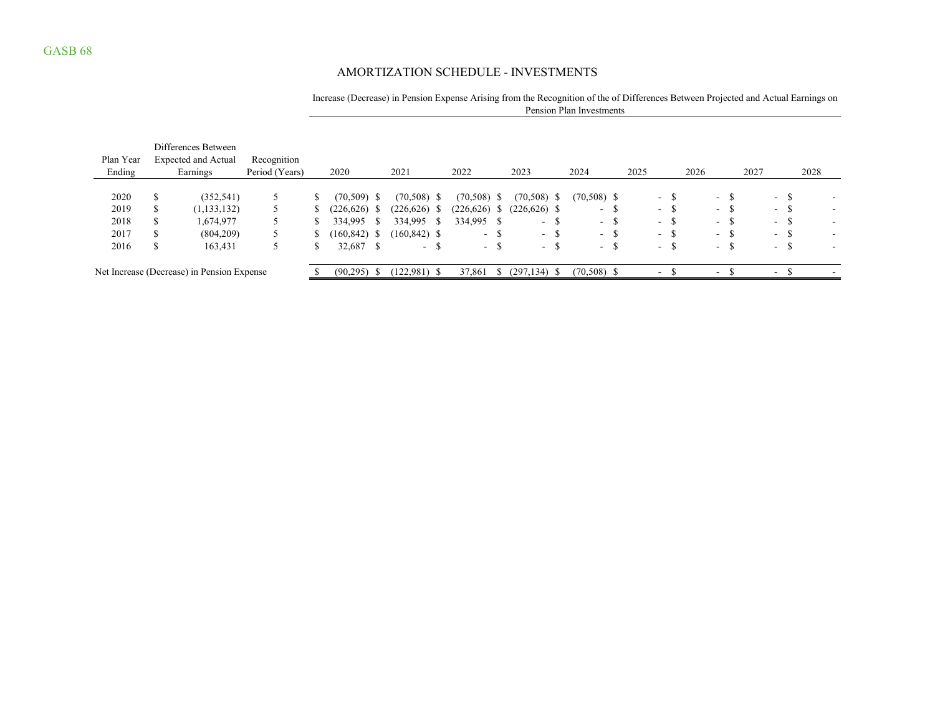## AMORTIZATION SCHEDULE - INVESTMENTS

### Increase (Decrease) in Pension Expense Arising from the Recognition of the of Differences Between Projected and Actual Earnings on Pension Plan Investments

| Plan Year<br>Ending |              | Differences Between<br><b>Expected and Actual</b><br>Earnings | Recognition<br>Period (Years) | 2020            |            | 2021            |     | 2022          |     | 2023             |    | 2024             |               | 2025 |                            | 2026 |                  |               | 2027 |                          |     | 2028 |                          |
|---------------------|--------------|---------------------------------------------------------------|-------------------------------|-----------------|------------|-----------------|-----|---------------|-----|------------------|----|------------------|---------------|------|----------------------------|------|------------------|---------------|------|--------------------------|-----|------|--------------------------|
| 2020                | <b>S</b>     | (352, 541)                                                    | 5                             | $(70,509)$ \$   |            | $(70,508)$ \$   |     | $(70,508)$ \$ |     | $(70,508)$ \$    |    | $(70,508)$ \$    |               |      | -S<br>$\sim$ 10 $\pm$      |      |                  | $- S$         |      | $\sim$ 10 $\pm$          | - S |      |                          |
| 2019                | <b>S</b>     | (1, 133, 132)                                                 | $\mathcal{L}$                 | $(226, 626)$ \$ |            | (226, 626)      | - 5 | (226, 626)    |     | $(226,626)$ \$   |    | $\sim$ $-$       | <sup>\$</sup> |      | $\sim$<br>ക                |      |                  | - 5           |      | $\sim$                   | Ъ.  |      |                          |
| 2018                | <sup>S</sup> | 1,674,977                                                     |                               | 334,995         | -8         | 334,995         |     | 334,995       |     | $\sim$           | -S | $\sim$ 10 $\sim$ | -S            |      | $\sim$ 100 $\mu$<br>- ১১   |      |                  | – ა           |      | $\sim$                   |     |      |                          |
| 2017                |              | (804,209)                                                     | $\mathcal{L}$                 | (160, 842)      | - \$       | $(160, 842)$ \$ |     | $ -$          | - ১ | $\sim$ 100 $\mu$ | -S | $\sim$ 10 $\sim$ | <sup>\$</sup> |      | $\sim$ 10 $\,$<br><u>ъ</u> |      |                  | - \$          |      | $\sim$                   |     |      | $\overline{\phantom{a}}$ |
| 2016                | S            | 163,431                                                       |                               | 32,687          | $^{\circ}$ | $\sim$          | J.  | $\sim$ $\sim$ | ა   | $\sim$ 100 $\mu$ | J. | $\sim$ 100 $\mu$ | $\mathcal{S}$ |      | $\sim$<br>$\mathcal{D}$    |      | $\sim$ 100 $\mu$ | $\mathcal{D}$ |      | $\sim$                   | ക   |      |                          |
|                     |              | Net Increase (Decrease) in Pension Expense                    |                               | $(90,295)$ \$   |            | $(122,981)$ \$  |     | 37,861        |     | $(297, 134)$ \$  |    | $(70,508)$ \$    |               |      | $\sim$                     |      | $\sim$           |               |      | $\overline{\phantom{0}}$ |     |      |                          |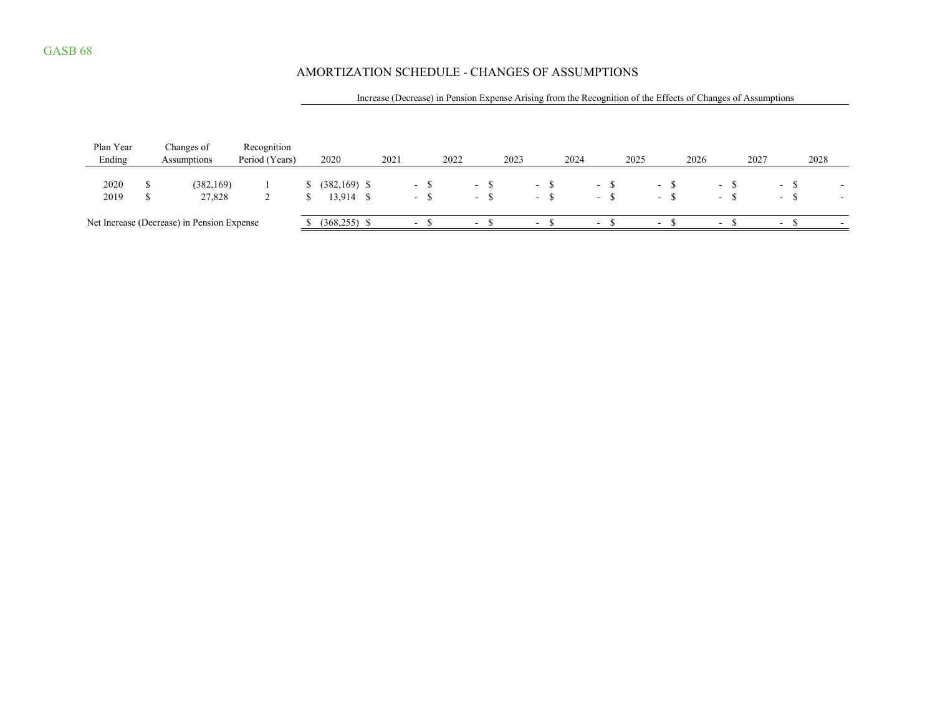## AMORTIZATION SCHEDULE - CHANGES OF ASSUMPTIONS

### Increase (Decrease) in Pension Expense Arising from the Recognition of the Effects of Changes of Assumptions

| Plan Year<br>Ending | Changes of<br>Assumptions                  | Recognition<br>Period (Years) | 2020                           | 2021 |                          | 2022 |                            | 2023 |                                | 2024 |                                | 2025 |                                | 2026 |                          | 2027 |                      | 2028 |  |
|---------------------|--------------------------------------------|-------------------------------|--------------------------------|------|--------------------------|------|----------------------------|------|--------------------------------|------|--------------------------------|------|--------------------------------|------|--------------------------|------|----------------------|------|--|
| 2020<br>2019        | (382, 169)<br>27,828                       |                               | $(382, 169)$ \$<br>$13,914$ \$ |      | $\sim$<br>$\sim$         |      | $\sim$ 100 $\mu$<br>$\sim$ |      | $\sim$ $\sim$<br>$\sim$ $\sim$ |      | $\sim$ $\sim$<br>$\sim$ $\sim$ |      | $\sim$ $\sim$<br>$\sim$ $\sim$ |      | $\sim$ $\sim$<br>$-$     |      | – പ<br>$\sim$ $\sim$ |      |  |
|                     | Net Increase (Decrease) in Pension Expense |                               | $(368, 255)$ \$                |      | $\overline{\phantom{0}}$ |      | $\overline{\phantom{0}}$   |      | $\sim$                         |      | $\sim$                         |      | $-$                            |      | $\overline{\phantom{0}}$ |      | $-$                  |      |  |